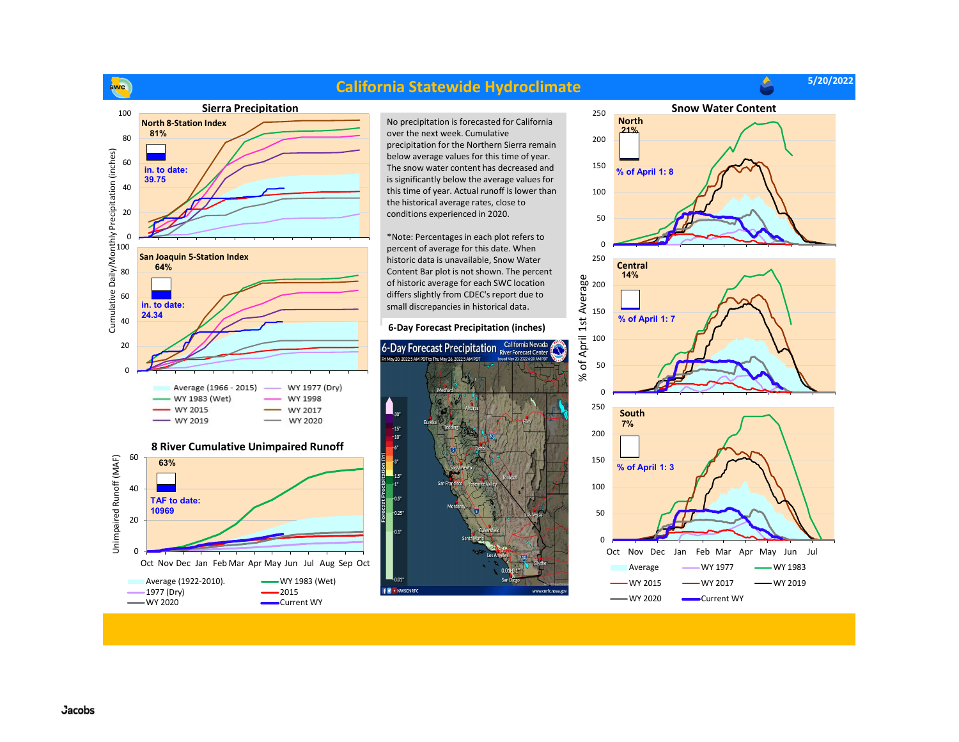